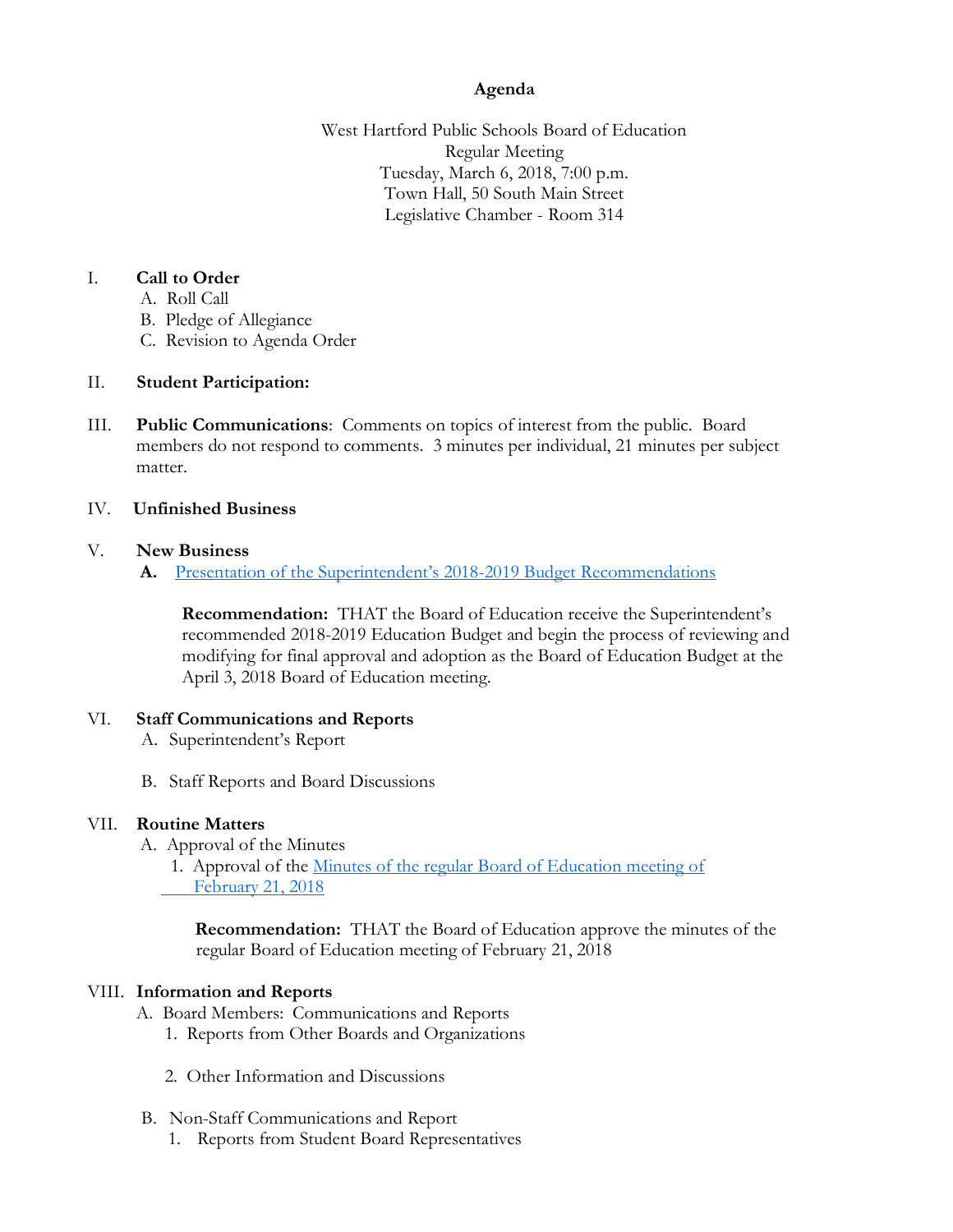# **Agenda**

West Hartford Public Schools Board of Education Regular Meeting Tuesday, March 6, 2018, 7:00 p.m. Town Hall, 50 South Main Street Legislative Chamber - Room 314

## I. **Call to Order**

- A. Roll Call
- B. Pledge of Allegiance
- C. Revision to Agenda Order

### II. **Student Participation:**

III. **Public Communications**: Comments on topics of interest from the public. Board members do not respond to comments. 3 minutes per individual, 21 minutes per subject matter.

#### IV. **Unfinished Business**

#### V. **New Business**

**A.** Presentat[ion of the Superintendent's 2018](https://www.whps.org/uploaded/BOE/BOE_Documents/20180306/Boiler_Plate_for_Super)-2019 Budget Recommendations

**Recommendation:** THAT the Board of Education receive the Superintendent's recommended 2018-2019 Education Budget and begin the process of reviewing and modifying for final approval and adoption as the Board of Education Budget at the April 3, 2018 Board of Education meeting.

### VI. **Staff Communications and Reports**

- A. Superintendent's Report
- B. Staff Reports and Board Discussions

### VII. **Routine Matters**

A. Approval of the Minutes 1. Approval of the [Minutes of the regular Board of Education meeting of](https://www.whps.org/uploaded/BOE/BOE_Documents/20180306/unofficial_minutes_from_02212018.pdf?1519934160230)  February 21, 2018

 **Recommendation:** THAT the Board of Education approve the minutes of the regular Board of Education meeting of February 21, 2018

### VIII. **Information and Reports**

- A. Board Members: Communications and Reports
	- 1. Reports from Other Boards and Organizations
	- 2. Other Information and Discussions
- B. Non-Staff Communications and Report
	- 1. Reports from Student Board Representatives